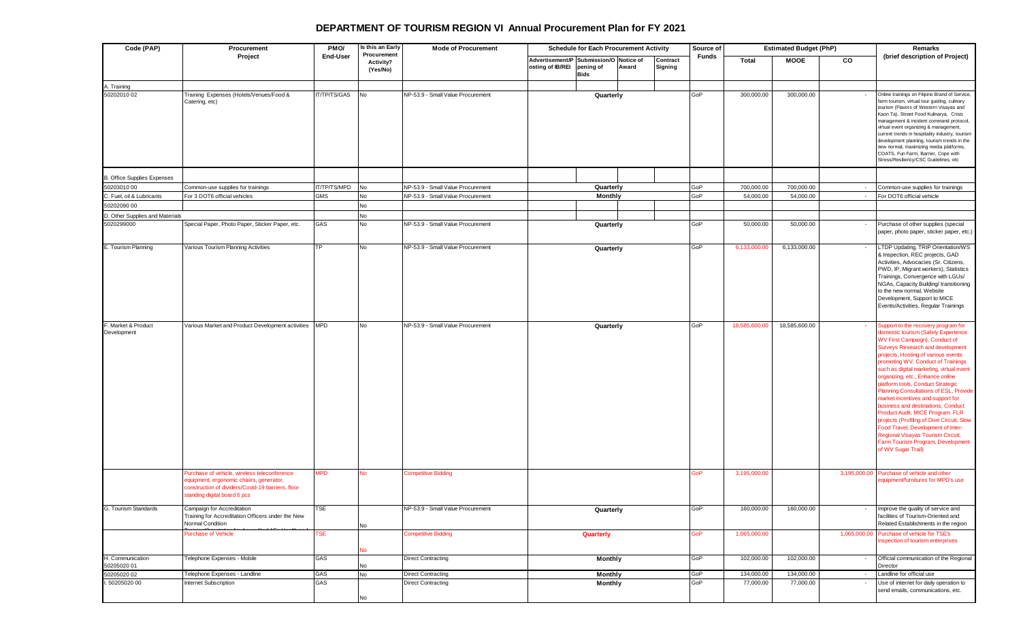## **DEPARTMENT OF TOURISM REGION VI Annual Procurement Plan for FY 2021**

| Code (PAP)                         | Procurement<br>Project                                                                                                                                                       | PMO/<br>End-User | Is this an Early<br>Procurement<br>Activity?<br>(Yes/No) | <b>Mode of Procurement</b>        | <b>Schedule for Each Procurement Activity</b>              |                          |       | Source of           | <b>Estimated Budget (PhP)</b> |               |             | Remarks                                                                                                                                                                                                                                                                                                                                                                                                                                                                                                                                                                                                                                                                                                     |                                                                                                                                                                                                                                                                                                                                                                                                                                                                                                       |
|------------------------------------|------------------------------------------------------------------------------------------------------------------------------------------------------------------------------|------------------|----------------------------------------------------------|-----------------------------------|------------------------------------------------------------|--------------------------|-------|---------------------|-------------------------------|---------------|-------------|-------------------------------------------------------------------------------------------------------------------------------------------------------------------------------------------------------------------------------------------------------------------------------------------------------------------------------------------------------------------------------------------------------------------------------------------------------------------------------------------------------------------------------------------------------------------------------------------------------------------------------------------------------------------------------------------------------------|-------------------------------------------------------------------------------------------------------------------------------------------------------------------------------------------------------------------------------------------------------------------------------------------------------------------------------------------------------------------------------------------------------------------------------------------------------------------------------------------------------|
|                                    |                                                                                                                                                                              |                  |                                                          |                                   | Advertisement/P Submission/O Notice of<br>osting of IB/REI | pening of<br><b>Bids</b> | Award | Contract<br>Signing | Funds                         | Total         | <b>MOOE</b> | CO                                                                                                                                                                                                                                                                                                                                                                                                                                                                                                                                                                                                                                                                                                          | (brief description of Project)                                                                                                                                                                                                                                                                                                                                                                                                                                                                        |
| A. Training                        |                                                                                                                                                                              |                  |                                                          |                                   |                                                            |                          |       |                     |                               |               |             |                                                                                                                                                                                                                                                                                                                                                                                                                                                                                                                                                                                                                                                                                                             |                                                                                                                                                                                                                                                                                                                                                                                                                                                                                                       |
| 50202010 02                        | Training Expenses (Hotels/Venues/Food &<br>Catering, etc)                                                                                                                    | IT/TP/TS/GAS     | No                                                       | NP-53.9 - Small Value Procurement |                                                            | Quarterly                |       |                     | GoP                           | 300,000.00    | 300,000.00  |                                                                                                                                                                                                                                                                                                                                                                                                                                                                                                                                                                                                                                                                                                             | Online trainings on Filipino Brand of Service,<br>arm tourism, virtual tour guiding, culinary<br>tourism (Flavors of Western Visayas and<br>Kaon Ta), Street Food Kulinarya, Crisis<br>nanagement & incident command protocol,<br>virtual event organizing & management,<br>current trends in hospitality industry, tourism<br>development planning, tourism trends in the<br>new normal, maximizing media platforms,<br>COATS, Fun Farm, Barrier, Cope with<br>Stress/Resiliency/CSC Guidelines, etc |
| <b>B. Office Supplies Expenses</b> |                                                                                                                                                                              |                  |                                                          |                                   |                                                            |                          |       |                     |                               |               |             |                                                                                                                                                                                                                                                                                                                                                                                                                                                                                                                                                                                                                                                                                                             |                                                                                                                                                                                                                                                                                                                                                                                                                                                                                                       |
| 50203010 00                        | Common-use supplies for trainings                                                                                                                                            | IT/TP/TS/MPD     | No                                                       | NP-53.9 - Small Value Procurement |                                                            | Quarterly                |       |                     | GoP                           | 700,000.00    | 700,000.00  | $\sim$                                                                                                                                                                                                                                                                                                                                                                                                                                                                                                                                                                                                                                                                                                      | Common-use supplies for trainings                                                                                                                                                                                                                                                                                                                                                                                                                                                                     |
| C. Fuel, oil & Lubricants          | For 3 DOT6 official vehicles                                                                                                                                                 | <b>GMS</b>       | No                                                       | NP-53.9 - Small Value Procurement |                                                            | <b>Monthly</b>           |       |                     | GoP                           | 54,000.00     | 54,000.00   | $\sim$                                                                                                                                                                                                                                                                                                                                                                                                                                                                                                                                                                                                                                                                                                      | For DOT6 official vehicle                                                                                                                                                                                                                                                                                                                                                                                                                                                                             |
| 50202090 00                        |                                                                                                                                                                              |                  | No                                                       |                                   |                                                            |                          |       |                     |                               |               |             |                                                                                                                                                                                                                                                                                                                                                                                                                                                                                                                                                                                                                                                                                                             |                                                                                                                                                                                                                                                                                                                                                                                                                                                                                                       |
| D. Other Supplies and Materials    |                                                                                                                                                                              |                  | No                                                       |                                   |                                                            |                          |       |                     |                               |               |             |                                                                                                                                                                                                                                                                                                                                                                                                                                                                                                                                                                                                                                                                                                             |                                                                                                                                                                                                                                                                                                                                                                                                                                                                                                       |
| 5020299000                         | Special Paper, Photo Paper, Sticker Paper, etc.                                                                                                                              | GAS              | No                                                       | NP-53.9 - Small Value Procurement |                                                            | Quarterly                |       |                     | GoP                           | 50,000.00     | 50,000.00   |                                                                                                                                                                                                                                                                                                                                                                                                                                                                                                                                                                                                                                                                                                             | Purchase of other supplies (special<br>paper, photo paper, sticker paper, etc.)                                                                                                                                                                                                                                                                                                                                                                                                                       |
| E. Tourism Planning                | Various Tourism Planning Activities                                                                                                                                          | <b>TP</b>        | No                                                       | NP-53.9 - Small Value Procurement | Quarterly                                                  |                          |       | GoP                 | 6,133,000.00                  | 6,133,000.00  |             | LTDP Updating, TRIP Orientation/WS<br>& Inspection, REC projects, GAD<br>Activities, Advocacies (Sr. Citizens,<br>PWD, IP, Migrant workers), Statistics<br>Trainings, Convergence with LGUs/<br>NGAs, Capacity Building/ transitioning<br>to the new normal, Website<br>Development, Support to MICE<br>Events/Activities, Regular Trainings                                                                                                                                                                                                                                                                                                                                                                |                                                                                                                                                                                                                                                                                                                                                                                                                                                                                                       |
| F. Market & Product<br>Development | Various Market and Product Development activities                                                                                                                            | <b>MPD</b>       | No                                                       | NP-53.9 - Small Value Procurement | Quarterly                                                  |                          |       | GoP                 | 18,585,600.0                  | 18,585,600.00 |             | Support to the recovery program for<br><b>Iomestic tourism (Safely Experience</b><br>WV First Campaign), Conduct of<br><b>Surveys Research and development</b><br>projects, Hosting of various events<br>promoting WV, Conduct of Trainings<br>such as digital marketing, virtual event<br>rganizing, etc., Enhance online<br>platform tools, Conduct Strategic<br>Planning Consultations of ESL, Provide<br>market incentives and support for<br>business and destinations, Conduct<br>Product Audit, MICE Program. FLR<br>projects (Profiling of Dive Circuit, Slow<br>Food Travel, Development of Inter-<br>Regional Visayas Tourism Circuit,<br>Farm Tourism Program, Development<br>of WV Sugar Trail) |                                                                                                                                                                                                                                                                                                                                                                                                                                                                                                       |
|                                    | Purchase of vehicle, wireless teleconference<br>equipment, ergonomic chaiirs, generator,<br>construction of dividers/Covid-19 barriers, floor<br>tanding digital board 6 pcs | <b>MPD</b>       | No                                                       | <b>Competitive Bidding</b>        |                                                            |                          |       |                     | GoP                           | 3,195,000.00  |             | 3,195,000.00                                                                                                                                                                                                                                                                                                                                                                                                                                                                                                                                                                                                                                                                                                | Purchase of vehicle and other<br>equipment/furnitures for MPD's use                                                                                                                                                                                                                                                                                                                                                                                                                                   |
| G. Tourism Standards               | Campaign for Accreditation<br>Training for Accreditation Officers under the New<br>Normal Condition                                                                          | TSE              | No                                                       | NP-53.9 - Small Value Procurement |                                                            | Quarterly                |       |                     | GoP                           | 160,000.00    | 160,000.00  |                                                                                                                                                                                                                                                                                                                                                                                                                                                                                                                                                                                                                                                                                                             | Improve the quality of service and<br>facilities of Tourism-Oriented and<br>Related Establishments in the region                                                                                                                                                                                                                                                                                                                                                                                      |
|                                    | Purchase of Vehicle                                                                                                                                                          | TSE              | No                                                       | Competitive Bidding               |                                                            | Quarterly                |       |                     | <b>GoP</b>                    | 1,065,000.00  |             | 1,065,000.00                                                                                                                                                                                                                                                                                                                                                                                                                                                                                                                                                                                                                                                                                                | Purchase of vehicle for TSE's<br>nspection of tourism enterprises                                                                                                                                                                                                                                                                                                                                                                                                                                     |
| H. Communication<br>50205020 01    | Telephone Expenses - Mobile                                                                                                                                                  | GAS              | No                                                       | <b>Direct Contracting</b>         |                                                            | <b>Monthly</b>           |       |                     | GoP                           | 102,000.00    | 102,000.00  | $\sim$                                                                                                                                                                                                                                                                                                                                                                                                                                                                                                                                                                                                                                                                                                      | Official communication of the Regional<br>Director                                                                                                                                                                                                                                                                                                                                                                                                                                                    |
| 50205020 02                        | Telephone Expenses - Landline                                                                                                                                                | GAS              | No                                                       | <b>Direct Contracting</b>         |                                                            | Monthly                  |       |                     | GoP                           | 134,000.00    | 134,000.00  | $\sim$                                                                                                                                                                                                                                                                                                                                                                                                                                                                                                                                                                                                                                                                                                      | Landline for official use                                                                                                                                                                                                                                                                                                                                                                                                                                                                             |
| I. 50205020 00                     | Internet Subscription                                                                                                                                                        | GAS              |                                                          | <b>Direct Contracting</b>         |                                                            | <b>Monthly</b>           |       |                     | GoP                           | 77,000.00     | 77,000.00   | $\sim$                                                                                                                                                                                                                                                                                                                                                                                                                                                                                                                                                                                                                                                                                                      | Use of internet for daily operation to<br>send emails, communications, etc.                                                                                                                                                                                                                                                                                                                                                                                                                           |